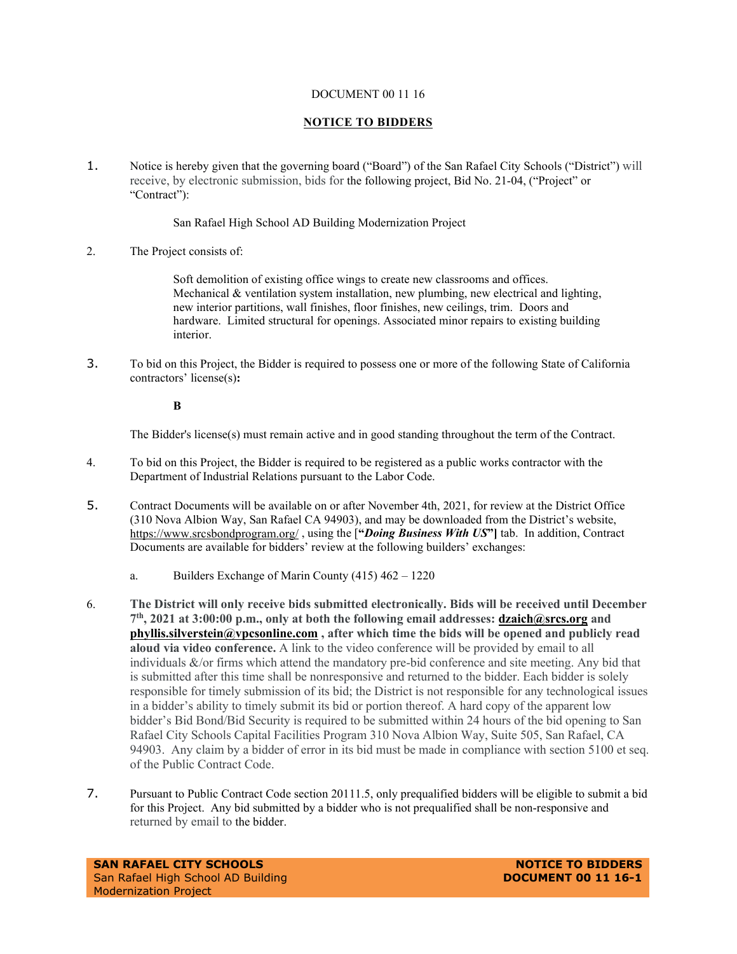#### DOCUMENT 00 11 16

### **NOTICE TO BIDDERS**

1. Notice is hereby given that the governing board ("Board") of the San Rafael City Schools ("District") will receive, by electronic submission, bids for the following project, Bid No. 21-04, ("Project" or "Contract"):

### San Rafael High School AD Building Modernization Project

2. The Project consists of:

Soft demolition of existing office wings to create new classrooms and offices. Mechanical  $&$  ventilation system installation, new plumbing, new electrical and lighting, new interior partitions, wall finishes, floor finishes, new ceilings, trim. Doors and hardware. Limited structural for openings. Associated minor repairs to existing building interior.

3. To bid on this Project, the Bidder is required to possess one or more of the following State of California contractors' license(s)**:** 

### **B**

The Bidder's license(s) must remain active and in good standing throughout the term of the Contract.

- 4. To bid on this Project, the Bidder is required to be registered as a public works contractor with the Department of Industrial Relations pursuant to the Labor Code.
- 5. Contract Documents will be available on or after November 4th, 2021, for review at the District Office (310 Nova Albion Way, San Rafael CA 94903), and may be downloaded from the District's website, <https://www.srcsbondprogram.org/> , using the [**"***Doing Business With US***"]** tab. In addition, Contract Documents are available for bidders' review at the following builders' exchanges:
	- a. Builders Exchange of Marin County (415) 462 1220
- 6. **The District will only receive bids submitted electronically. Bids will be received until December 7th, 2021 at 3:00:00 p.m., only at both the following email addresses: [dzaich@srcs.org](mailto:dzaich@srcs.org) and [phyllis.silverstein@vpcsonline.com](mailto:phyllis.silverstein@vpcsonline.com) , after which time the bids will be opened and publicly read aloud via video conference.** A link to the video conference will be provided by email to all individuals &/or firms which attend the mandatory pre-bid conference and site meeting. Any bid that is submitted after this time shall be nonresponsive and returned to the bidder. Each bidder is solely responsible for timely submission of its bid; the District is not responsible for any technological issues in a bidder's ability to timely submit its bid or portion thereof. A hard copy of the apparent low bidder's Bid Bond/Bid Security is required to be submitted within 24 hours of the bid opening to San Rafael City Schools Capital Facilities Program 310 Nova Albion Way, Suite 505, San Rafael, CA 94903. Any claim by a bidder of error in its bid must be made in compliance with section 5100 et seq. of the Public Contract Code.
- 7. Pursuant to Public Contract Code section 20111.5, only prequalified bidders will be eligible to submit a bid for this Project. Any bid submitted by a bidder who is not prequalified shall be non-responsive and returned by email to the bidder.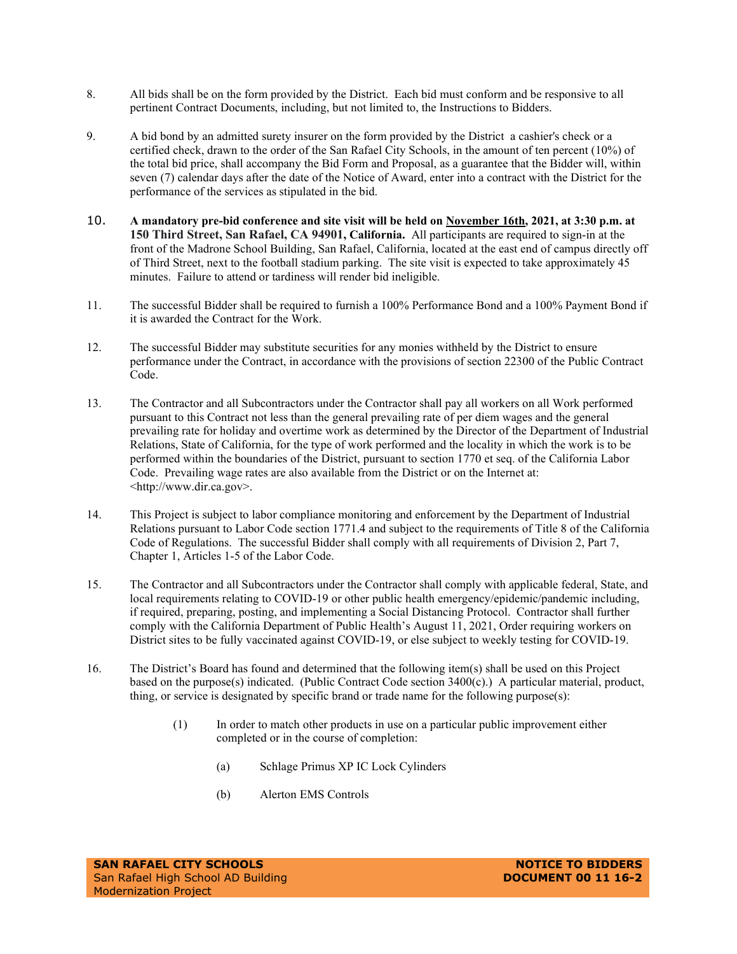- 8. All bids shall be on the form provided by the District. Each bid must conform and be responsive to all pertinent Contract Documents, including, but not limited to, the Instructions to Bidders.
- 9. A bid bond by an admitted surety insurer on the form provided by the District a cashier's check or a certified check, drawn to the order of the San Rafael City Schools, in the amount of ten percent (10%) of the total bid price, shall accompany the Bid Form and Proposal, as a guarantee that the Bidder will, within seven (7) calendar days after the date of the Notice of Award, enter into a contract with the District for the performance of the services as stipulated in the bid.
- 10. **A mandatory pre-bid conference and site visit will be held on November 16th, 2021, at 3:30 p.m. at 150 Third Street, San Rafael, CA 94901, California.** All participants are required to sign-in at the front of the Madrone School Building, San Rafael, California, located at the east end of campus directly off of Third Street, next to the football stadium parking. The site visit is expected to take approximately 45 minutes. Failure to attend or tardiness will render bid ineligible.
- 11. The successful Bidder shall be required to furnish a 100% Performance Bond and a 100% Payment Bond if it is awarded the Contract for the Work.
- 12. The successful Bidder may substitute securities for any monies withheld by the District to ensure performance under the Contract, in accordance with the provisions of section 22300 of the Public Contract Code.
- 13. The Contractor and all Subcontractors under the Contractor shall pay all workers on all Work performed pursuant to this Contract not less than the general prevailing rate of per diem wages and the general prevailing rate for holiday and overtime work as determined by the Director of the Department of Industrial Relations, State of California, for the type of work performed and the locality in which the work is to be performed within the boundaries of the District, pursuant to section 1770 et seq. of the California Labor Code. Prevailing wage rates are also available from the District or on the Internet at: <http://www.dir.ca.gov>.
- 14. This Project is subject to labor compliance monitoring and enforcement by the Department of Industrial Relations pursuant to Labor Code section 1771.4 and subject to the requirements of Title 8 of the California Code of Regulations. The successful Bidder shall comply with all requirements of Division 2, Part 7, Chapter 1, Articles 1-5 of the Labor Code.
- 15. The Contractor and all Subcontractors under the Contractor shall comply with applicable federal, State, and local requirements relating to COVID-19 or other public health emergency/epidemic/pandemic including, if required, preparing, posting, and implementing a Social Distancing Protocol. Contractor shall further comply with the California Department of Public Health's August 11, 2021, Order requiring workers on District sites to be fully vaccinated against COVID-19, or else subject to weekly testing for COVID-19.
- 16. The District's Board has found and determined that the following item(s) shall be used on this Project based on the purpose(s) indicated. (Public Contract Code section 3400(c).) A particular material, product, thing, or service is designated by specific brand or trade name for the following purpose(s):
	- (1) In order to match other products in use on a particular public improvement either completed or in the course of completion:
		- (a) Schlage Primus XP IC Lock Cylinders
		- (b) Alerton EMS Controls